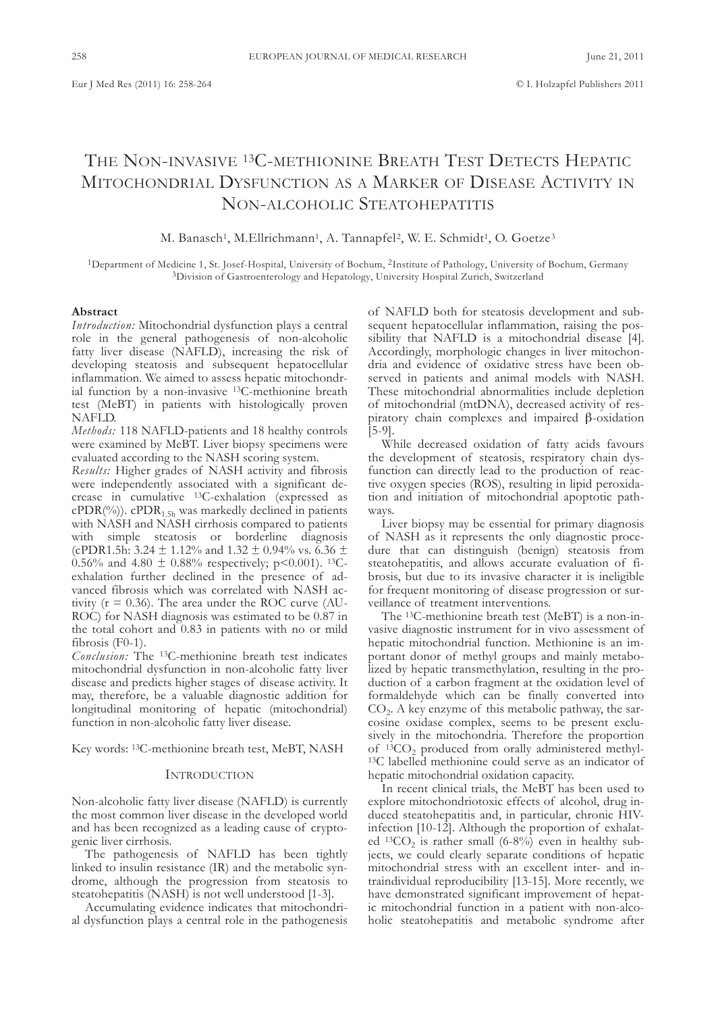# THE NoN-INvasIvE 13C-METHIoNINE BREaTH TEsT DETECTs HEPaTIC MITOCHONDRIAL DYSFUNCTION AS A MARKER OF DISEASE ACTIVITY IN NON-ALCOHOLIC STEATOHEPATITIS

M. Banasch<sup>1</sup>, M.Ellrichmann<sup>1</sup>, A. Tannapfel<sup>2</sup>, W. E. Schmidt<sup>1</sup>, O. Goetze<sup>3</sup>

1Department of Medicine 1, st. Josef-Hospital, university of Bochum, 2Institute of Pathology, university of Bochum, Germany 3Division of Gastroenterology and Hepatology, university Hospital Zurich, switzerland

# **Abstract**

*Introduction:* Mitochondrial dysfunction plays a central role in the general pathogenesis of non-alcoholic fatty liver disease (NaflD), increasing the risk of developing steatosis and subsequent hepatocellular inflammation. We aimed to assess hepatic mitochondrial function by a non-invasive 13C-methionine breath test (MeBT) in patients with histologically proven NaflD.

*Methods:* 118 NaflD-patients and 18 healthy controls were examined by MeBT. liver biopsy specimens were evaluated according to the NasH scoring system.

*Results:* Higher grades of NasH activity and fibrosis were independently associated with a significant decrease in cumulative 13C-exhalation (expressed as  $cPDR(\%)$ ).  $cPDR_{1.5h}$  was markedly declined in patients with NASH and NASH cirrhosis compared to patients with simple steatosis or borderline diagnosis (cPDR1.5h: 3.24  $\pm$  1.12% and 1.32  $\pm$  0.94% vs. 6.36  $\pm$ 0.56% and 4.80  $\pm$  0.88% respectively; p<0.001). <sup>13</sup>Cexhalation further declined in the presence of advanced fibrosis which was correlated with NasH activity ( $r = 0.36$ ). The area under the ROC curve (AU-RoC) for NasH diagnosis was estimated to be 0.87 in the total cohort and 0.83 in patients with no or mild fibrosis (F0-1).

*Conclusion:* The 13C-methionine breath test indicates mitochondrial dysfunction in non-alcoholic fatty liver disease and predicts higher stages of disease activity. It may, therefore, be a valuable diagnostic addition for longitudinal monitoring of hepatic (mitochondrial) function in non-alcoholic fatty liver disease.

key words: 13C-methionine breath test, MeBT, NasH

#### INTRoDuCTIoN

Non-alcoholic fatty liver disease (NaflD) is currently the most common liver disease in the developed world and has been recognized as a leading cause of cryptogenic liver cirrhosis.

The pathogenesis of NAFLD has been tightly linked to insulin resistance (IR) and the metabolic syndrome, although the progression from steatosis to steatohepatitis (NASH) is not well understood [1-3].

Accumulating evidence indicates that mitochondrial dysfunction plays a central role in the pathogenesis of NaflD both for steatosis development and subsequent hepatocellular inflammation, raising the possibility that NAFLD is a mitochondrial disease [4]. Accordingly, morphologic changes in liver mitochondria and evidence of oxidative stress have been observed in patients and animal models with NasH. These mitochondrial abnormalities include depletion of mitochondrial (mtDNa), decreased activity of respiratory chain complexes and impaired β-oxidation [5-9].

While decreased oxidation of fatty acids favours the development of steatosis, respiratory chain dysfunction can directly lead to the production of reactive oxygen species (Ros), resulting in lipid peroxidation and initiation of mitochondrial apoptotic pathways.

Liver biopsy may be essential for primary diagnosis of NasH as it represents the only diagnostic procedure that can distinguish (benign) steatosis from steatohepatitis, and allows accurate evaluation of fibrosis, but due to its invasive character it is ineligible for frequent monitoring of disease progression or surveillance of treatment interventions.

The 13C-methionine breath test (MeBT) is a non-invasive diagnostic instrument for in vivo assessment of hepatic mitochondrial function. Methionine is an important donor of methyl groups and mainly metabolized by hepatic transmethylation, resulting in the production of a carbon fragment at the oxidation level of formaldehyde which can be finally converted into  $CO<sub>2</sub>$ . A key enzyme of this metabolic pathway, the sarcosine oxidase complex, seems to be present exclusively in the mitochondria. Therefore the proportion of  $13CO<sub>2</sub>$  produced from orally administered methyl-<br>13C labelled methionine could serve as an indicator of hepatic mitochondrial oxidation capacity.

In recent clinical trials, the MeBT has been used to explore mitochondriotoxic effects of alcohol, drug induced steatohepatitis and, in particular, chronic HIvinfection [10-12]. Although the proportion of exhalated <sup>13</sup>CO<sub>2</sub> is rather small (6-8%) even in healthy subjects, we could clearly separate conditions of hepatic mitochondrial stress with an excellent inter- and intraindividual reproducibility [13-15]. More recently, we have demonstrated significant improvement of hepatic mitochondrial function in a patient with non-alcoholic steatohepatitis and metabolic syndrome after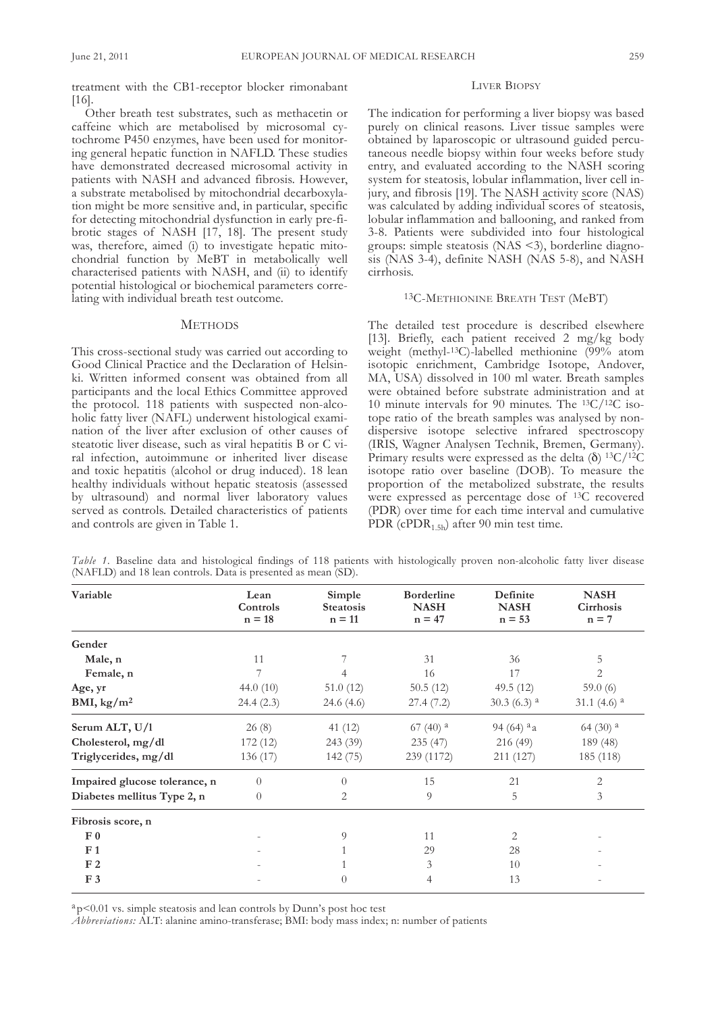treatment with the CB1-receptor blocker rimonabant [16].

Other breath test substrates, such as methacetin or caffeine which are metabolised by microsomal cytochrome P450 enzymes, have been used for monitoring general hepatic function in NaflD. These studies have demonstrated decreased microsomal activity in patients with NasH and advanced fibrosis. However, a substrate metabolised by mitochondrial decarboxylation might be more sensitive and, in particular, specific for detecting mitochondrial dysfunction in early pre-fibrotic stages of NasH [17, 18]. The present study was, therefore, aimed (i) to investigate hepatic mitochondrial function by MeBT in metabolically well characterised patients with NasH, and (ii) to identify potential histological or biochemical parameters correlating with individual breath test outcome.

#### **METHODS**

This cross-sectional study was carried out according to Good Clinical Practice and the Declaration of Helsinki. Written informed consent was obtained from all participants and the local Ethics Committee approved the protocol. 118 patients with suspected non-alcoholic fatty liver (NAFL) underwent histological examination of the liver after exclusion of other causes of steatotic liver disease, such as viral hepatitis B or C viral infection, autoimmune or inherited liver disease and toxic hepatitis (alcohol or drug induced). 18 lean healthy individuals without hepatic steatosis (assessed by ultrasound) and normal liver laboratory values served as controls. Detailed characteristics of patients and controls are given in Table 1.

# LIVER BIOPSY

The indication for performing a liver biopsy was based purely on clinical reasons. liver tissue samples were obtained by laparoscopic or ultrasound guided percutaneous needle biopsy within four weeks before study entry, and evaluated according to the NasH scoring system for steatosis, lobular inflammation, liver cell injury, and fibrosis [19]. The NASH activity score (NAS) was calculated by adding individual scores of steatosis, lobular inflammation and ballooning, and ranked from 3-8. Patients were subdivided into four histological groups: simple steatosis  $(NAS \le 3)$ , borderline diagnosis (Nas 3-4), definite NasH (Nas 5-8), and NasH cirrhosis.

### 13C-METHIoNINE BREaTH TEsT (MeBT)

The detailed test procedure is described elsewhere [13]. Briefly, each patient received 2 mg/kg body weight (methyl-13C)-labelled methionine (99% atom isotopic enrichment, Cambridge Isotope, Andover, MA, USA) dissolved in 100 ml water. Breath samples were obtained before substrate administration and at 10 minute intervals for 90 minutes. The 13C/12C isotope ratio of the breath samples was analysed by nondispersive isotope selective infrared spectroscopy (IRIS, Wagner Analysen Technik, Bremen, Germany). Primary results were expressed as the delta ( $\delta$ ) <sup>13</sup>C/<sup>12</sup>C isotope ratio over baseline (DoB). To measure the proportion of the metabolized substrate, the results were expressed as percentage dose of 13C recovered (PDR) over time for each time interval and cumulative PDR (cPDR<sub>1.5h</sub>) after 90 min test time.

*Table 1.* Baseline data and histological findings of 118 patients with histologically proven non-alcoholic fatty liver disease (NAFLD) and 18 lean controls. Data is presented as mean (SD).

| Variable                      | Lean<br>Controls<br>$n = 18$ | Simple<br><b>Steatosis</b><br>$n = 11$ | <b>Borderline</b><br><b>NASH</b><br>$n = 47$ | Definite<br><b>NASH</b><br>$n = 53$ | <b>NASH</b><br>Cirrhosis<br>$n = 7$ |
|-------------------------------|------------------------------|----------------------------------------|----------------------------------------------|-------------------------------------|-------------------------------------|
| Gender                        |                              |                                        |                                              |                                     |                                     |
| Male, n                       | 11                           |                                        | 31                                           | 36                                  | 5                                   |
| Female, n                     | 7                            |                                        | 16                                           | 17                                  | 2                                   |
| Age, yr                       | 44.0 $(10)$                  | 51.0(12)                               | 50.5(12)                                     | 49.5 $(12)$                         | 59.0 $(6)$                          |
| BMI, $\text{kg}/\text{m}^2$   | 24.4(2.3)                    | 24.6 (4.6)                             | 27.4(7.2)                                    | $30.3(6.3)^{a}$                     | 31.1 $(4.6)$ <sup>a</sup>           |
| Serum ALT, U/1                | 26(8)                        | 41 (12)                                | $67(40)$ <sup>a</sup>                        | 94 (64) $a_a$                       | $64(30)$ <sup>a</sup>               |
| Cholesterol, mg/dl            | 172(12)                      | 243 (39)                               | 235(47)                                      | 216 (49)                            | 189 (48)                            |
| Triglycerides, mg/dl          | 136 (17)                     | 142 (75)                               | 239 (1172)                                   | 211 (127)                           | 185 (118)                           |
| Impaired glucose tolerance, n | $\theta$                     | $\Omega$                               | 15                                           | 21                                  | 2                                   |
| Diabetes mellitus Type 2, n   | $\theta$                     | 2                                      | 9                                            | 5                                   | 3                                   |
| Fibrosis score, n             |                              |                                        |                                              |                                     |                                     |
| F <sub>0</sub>                |                              | 9                                      | 11                                           | 2                                   |                                     |
| F <sub>1</sub>                |                              |                                        | 29                                           | 28                                  |                                     |
| F <sub>2</sub>                |                              |                                        | 3                                            | 10                                  |                                     |
| F <sub>3</sub>                |                              | $\Omega$                               | 4                                            | 13                                  |                                     |

 $a<sub>p</sub>$   $< 0.01$  vs. simple steatosis and lean controls by Dunn's post hoc test

Abbreviations: ALT: alanine amino-transferase; BMI: body mass index; n: number of patients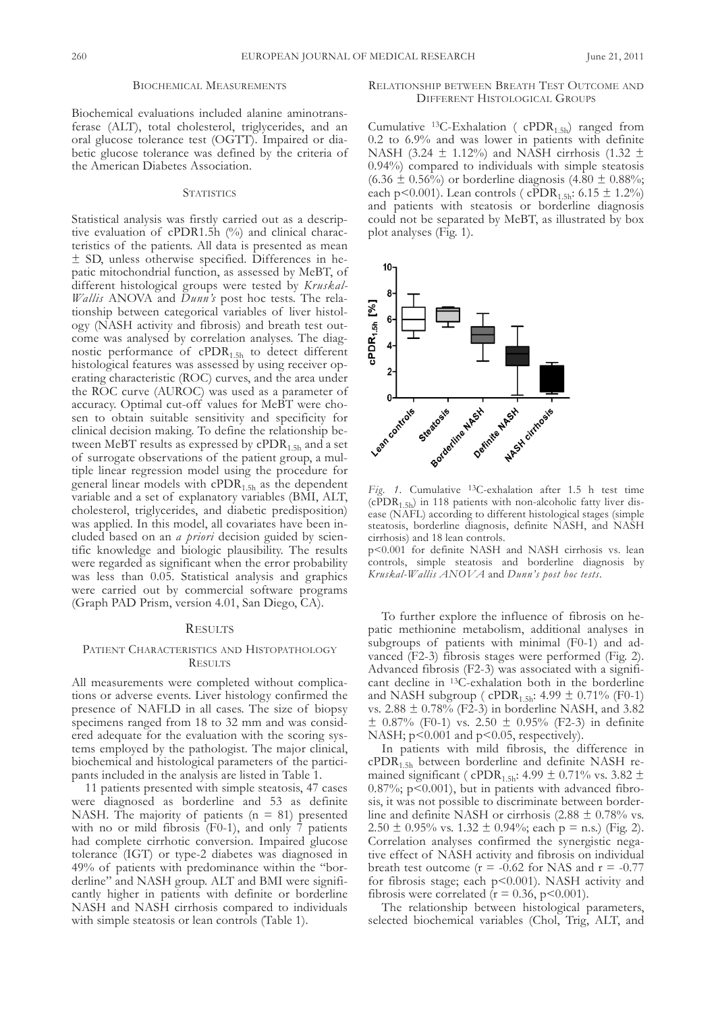## BIoCHEMICal MEasuREMENTs

Biochemical evaluations included alanine aminotransferase (alT), total cholesterol, triglycerides, and an oral glucose tolerance test (OGTT). Impaired or diabetic glucose tolerance was defined by the criteria of the American Diabetes Association.

## **STATISTICS**

statistical analysis was firstly carried out as a descriptive evaluation of cPDR1.5h (%) and clinical characteristics of the patients. all data is presented as mean ± sD, unless otherwise specified. Differences in hepatic mitochondrial function, as assessed by MeBT, of different histological groups were tested by *Kruskal-Wallis* ANOVA and  $D$ unn's post hoc tests. The relationship between categorical variables of liver histology (NasH activity and fibrosis) and breath test outcome was analysed by correlation analyses. The diagnostic performance of cPDR<sub>1.5h</sub> to detect different histological features was assessed by using receiver operating characteristic (RoC) curves, and the area under the ROC curve (AUROC) was used as a parameter of accuracy. Optimal cut-off values for MeBT were chosen to obtain suitable sensitivity and specificity for clinical decision making. To define the relationship between MeBT results as expressed by  $\text{cPDR}_1$ ,  $\text{sh}$  and a set of surrogate observations of the patient group, a multiple linear regression model using the procedure for general linear models with  $\text{cPDR}_{1.5h}$  as the dependent variable and a set of explanatory variables (BMI, alT, cholesterol, triglycerides, and diabetic predisposition) was applied. In this model, all covariates have been included based on an *a priori* decision guided by scientific knowledge and biologic plausibility. The results were regarded as significant when the error probability was less than 0.05. Statistical analysis and graphics were carried out by commercial software programs (Graph PaD Prism, version 4.01, san Diego, Ca).

### **RESULTS**

# PATIENT CHARACTERISTICS AND HISTOPATHOLOGY **RESULTS**

All measurements were completed without complications or adverse events. liver histology confirmed the presence of NaflD in all cases. The size of biopsy specimens ranged from 18 to 32 mm and was considered adequate for the evaluation with the scoring systems employed by the pathologist. The major clinical, biochemical and histological parameters of the participants included in the analysis are listed in Table 1.

11 patients presented with simple steatosis, 47 cases were diagnosed as borderline and 53 as definite NASH. The majority of patients ( $n = 81$ ) presented with no or mild fibrosis (F0-1), and only  $\overline{7}$  patients had complete cirrhotic conversion. Impaired glucose tolerance (IGT) or type-2 diabetes was diagnosed in 49% of patients with predominance within the "borderline" and NASH group. ALT and BMI were significantly higher in patients with definite or borderline NasH and NasH cirrhosis compared to individuals with simple steatosis or lean controls (Table 1).

# RELATIONSHIP BETWEEN BREATH TEST OUTCOME AND DIffERENT HIsToloGICal GRouPs

Cumulative <sup>13</sup>C-Exhalation ( $\text{cPDR}_{1.5h}$ ) ranged from 0.2 to 6.9% and was lower in patients with definite NASH (3.24  $\pm$  1.12%) and NASH cirrhosis (1.32  $\pm$ 0.94%) compared to individuals with simple steatosis  $(6.36 \pm 0.56\%)$  or borderline diagnosis  $(4.80 \pm 0.88\%)$ ; each p<0.001). Lean controls (  $\text{cPDR}_{1.5h}: 6.15 \pm 1.2\%$ ) and patients with steatosis or borderline diagnosis could not be separated by MeBT, as illustrated by box plot analyses (fig. 1).



*Fig. 1.* Cumulative 13C-exhalation after 1.5 h test time  $(cPDR<sub>1.5h</sub>)$  in 118 patients with non-alcoholic fatty liver disease (NAFL) according to different histological stages (simple steatosis, borderline diagnosis, definite NasH, and NasH cirrhosis) and 18 lean controls.

p<0.001 for definite NasH and NasH cirrhosis vs. lean controls, simple steatosis and borderline diagnosis by *Kruskal-Wallis ANOVA* and *Dunn's post hoc tests*.

To further explore the influence of fibrosis on hepatic methionine metabolism, additional analyses in subgroups of patients with minimal (F0-1) and advanced (f2-3) fibrosis stages were performed (fig. 2). Advanced fibrosis (F2-3) was associated with a significant decline in 13C-exhalation both in the borderline and NASH subgroup ( $\text{cPDR}_{1.5\text{h}}$ : 4.99  $\pm$  0.71% (F0-1) vs.  $2.88 \pm 0.78\%$  (F2-3) in borderline NASH, and 3.82  $\pm$  0.87% (F0-1) vs. 2.50  $\pm$  0.95% (F2-3) in definite NASH;  $p<0.001$  and  $p<0.05$ , respectively.

In patients with mild fibrosis, the difference in  $\text{cPDR}_{1.5h}$  between borderline and definite NASH remained significant ( cPDR<sub>1.5h</sub>: 4.99  $\pm$  0.71% vs. 3.82  $\pm$  $0.87\%$ ; p<0.001), but in patients with advanced fibrosis, it was not possible to discriminate between borderline and definite NASH or cirrhosis  $(2.88 \pm 0.78\% \text{ vs.}$ 2.50  $\pm$  0.95% vs. 1.32  $\pm$  0.94%; each p = n.s.) (Fig. 2). Correlation analyses confirmed the synergistic negative effect of NasH activity and fibrosis on individual breath test outcome ( $r = -0.62$  for NAS and  $r = -0.77$ for fibrosis stage; each p<0.001). NasH activity and fibrosis were correlated ( $r = 0.36$ ,  $p < 0.001$ ).

The relationship between histological parameters, selected biochemical variables (Chol, Trig, ALT, and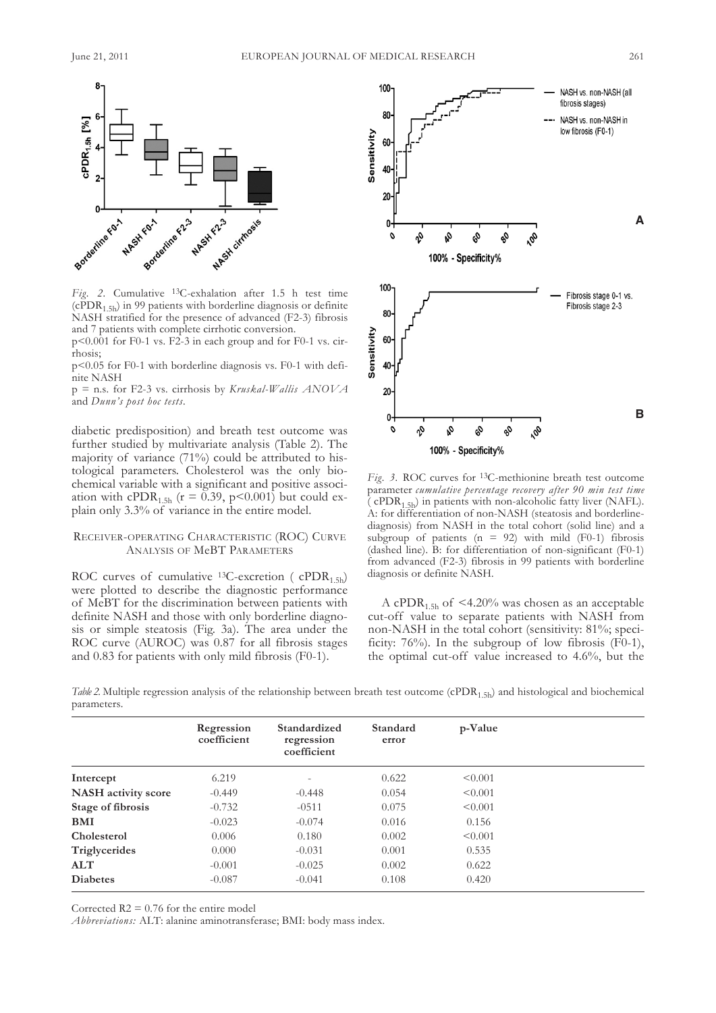

*Fig. 2.* Cumulative 13C-exhalation after 1.5 h test time  $(cPDR<sub>1.5h</sub>)$  in 99 patients with borderline diagnosis or definite NasH stratified for the presence of advanced (f2-3) fibrosis and 7 patients with complete cirrhotic conversion.

 $p<0.001$  for F0-1 vs. F2-3 in each group and for F0-1 vs. cirrhosis;

p<0.05 for f0-1 with borderline diagnosis vs. f0-1 with definite NasH

p = n.s. for f2-3 vs. cirrhosis by *Kruskal-Wallis ANOVA* and *Dunn's post hoc tests*.

diabetic predisposition) and breath test outcome was further studied by multivariate analysis (Table 2). The majority of variance (71%) could be attributed to histological parameters. Cholesterol was the only biochemical variable with a significant and positive association with cPDR<sub>1.5h</sub> ( $r = 0.39$ , p<0.001) but could explain only 3.3% of variance in the entire model.

## RECEIVER-OPERATING CHARACTERISTIC (ROC) CURVE ANALYSIS OF MeBT PARAMETERS

ROC curves of cumulative <sup>13</sup>C-excretion ( $\text{cPDR}_{1.5\text{h}}$ ) were plotted to describe the diagnostic performance of MeBT for the discrimination between patients with definite NASH and those with only borderline diagnosis or simple steatosis (fig. 3a). The area under the ROC curve (AUROC) was 0.87 for all fibrosis stages and 0.83 for patients with only mild fibrosis (F0-1).



*Fig. 3.* RoC curves for 13C-methionine breath test outcome parameter *cumulative percentage recovery after 90 min test time* ( cPDR<sub>1.5h</sub>) in patients with non-alcoholic fatty liver (NAFL). a: for differentiation of non-NasH (steatosis and borderlinediagnosis) from NasH in the total cohort (solid line) and a subgroup of patients ( $n = 92$ ) with mild (F0-1) fibrosis (dashed line). B: for differentiation of non-significant (f0-1) from advanced (f2-3) fibrosis in 99 patients with borderline diagnosis or definite NasH.

A cPDR<sub>1.5h</sub> of  $\leq$ 4.20% was chosen as an acceptable cut-off value to separate patients with NasH from non-NasH in the total cohort (sensitivity: 81%; specificity:  $76\%$ ). In the subgroup of low fibrosis (F0-1), the optimal cut-off value increased to 4.6%, but the

*Table* 2. Multiple regression analysis of the relationship between breath test outcome (cPDR<sub>1.5h</sub>) and histological and biochemical parameters.

|                            | Regression<br>coefficient | Standardized<br>regression<br>coefficient | Standard<br>error | p-Value      |  |
|----------------------------|---------------------------|-------------------------------------------|-------------------|--------------|--|
| Intercept                  | 6.219                     |                                           | 0.622             | < 0.001      |  |
| <b>NASH</b> activity score | $-0.449$                  | $-0.448$                                  | 0.054             | < 0.001      |  |
| Stage of fibrosis          | $-0.732$                  | $-0511$                                   | 0.075             | < 0.001      |  |
| BMI                        | $-0.023$                  | $-0.074$                                  | 0.016             | 0.156        |  |
| Cholesterol                | 0.006                     | 0.180                                     | 0.002             | $\leq 0.001$ |  |
| Triglycerides              | 0.000                     | $-0.031$                                  | 0.001             | 0.535        |  |
| <b>ALT</b>                 | $-0.001$                  | $-0.025$                                  | 0.002             | 0.622        |  |
| <b>Diabetes</b>            | $-0.087$                  | $-0.041$                                  | 0.108             | 0.420        |  |

Corrected  $R2 = 0.76$  for the entire model

*Abbreviations:* ALT: alanine aminotransferase; BMI: body mass index.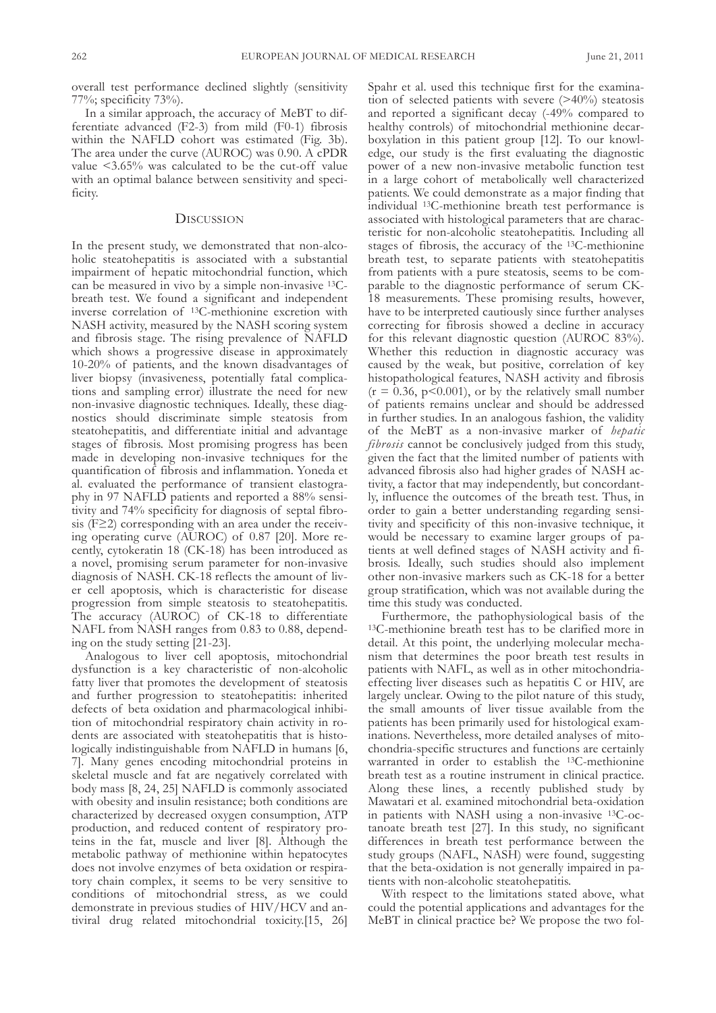overall test performance declined slightly (sensitivity 77%; specificity 73%).

In a similar approach, the accuracy of MeBT to differentiate advanced (f2-3) from mild (f0-1) fibrosis within the NAFLD cohort was estimated (Fig. 3b). The area under the curve (AUROC) was 0.90. A cPDR value <3.65% was calculated to be the cut-off value with an optimal balance between sensitivity and specificity.

### **DISCUSSION**

In the present study, we demonstrated that non-alcoholic steatohepatitis is associated with a substantial impairment of hepatic mitochondrial function, which can be measured in vivo by a simple non-invasive 13Cbreath test. We found a significant and independent inverse correlation of 13C-methionine excretion with NasH activity, measured by the NasH scoring system and fibrosis stage. The rising prevalence of NaflD which shows a progressive disease in approximately 10-20% of patients, and the known disadvantages of liver biopsy (invasiveness, potentially fatal complications and sampling error) illustrate the need for new non-invasive diagnostic techniques. Ideally, these diagnostics should discriminate simple steatosis from steatohepatitis, and differentiate initial and advantage stages of fibrosis. Most promising progress has been made in developing non-invasive techniques for the quantification of fibrosis and inflammation. yoneda et al. evaluated the performance of transient elastography in 97 NaflD patients and reported a 88% sensitivity and 74% specificity for diagnosis of septal fibrosis (f≥2) corresponding with an area under the receiving operating curve (AUROC) of 0.87 [20]. More recently, cytokeratin 18 (Ck-18) has been introduced as a novel, promising serum parameter for non-invasive diagnosis of NasH. Ck-18 reflects the amount of liver cell apoptosis, which is characteristic for disease progression from simple steatosis to steatohepatitis. The accuracy (AUROC) of CK-18 to differentiate NAFL from NASH ranges from 0.83 to 0.88, depending on the study setting [21-23].

analogous to liver cell apoptosis, mitochondrial dysfunction is a key characteristic of non-alcoholic fatty liver that promotes the development of steatosis and further progression to steatohepatitis: inherited defects of beta oxidation and pharmacological inhibition of mitochondrial respiratory chain activity in rodents are associated with steatohepatitis that is histologically indistinguishable from NAFLD in humans [6, 7]. Many genes encoding mitochondrial proteins in skeletal muscle and fat are negatively correlated with body mass [8, 24, 25] NaflD is commonly associated with obesity and insulin resistance; both conditions are characterized by decreased oxygen consumption, aTP production, and reduced content of respiratory proteins in the fat, muscle and liver [8]. although the metabolic pathway of methionine within hepatocytes does not involve enzymes of beta oxidation or respiratory chain complex, it seems to be very sensitive to conditions of mitochondrial stress, as we could demonstrate in previous studies of HIv/HCv and antiviral drug related mitochondrial toxicity.[15, 26] spahr et al. used this technique first for the examination of selected patients with severe (>40%) steatosis and reported a significant decay (-49% compared to healthy controls) of mitochondrial methionine decarboxylation in this patient group [12]. To our knowledge, our study is the first evaluating the diagnostic power of a new non-invasive metabolic function test in a large cohort of metabolically well characterized patients. We could demonstrate as a major finding that individual 13C-methionine breath test performance is associated with histological parameters that are characteristic for non-alcoholic steatohepatitis. Including all stages of fibrosis, the accuracy of the 13C-methionine breath test, to separate patients with steatohepatitis from patients with a pure steatosis, seems to be comparable to the diagnostic performance of serum Ck-18 measurements. These promising results, however, have to be interpreted cautiously since further analyses correcting for fibrosis showed a decline in accuracy for this relevant diagnostic question (auRoC 83%). Whether this reduction in diagnostic accuracy was caused by the weak, but positive, correlation of key histopathological features, NasH activity and fibrosis  $(r = 0.36, p < 0.001)$ , or by the relatively small number of patients remains unclear and should be addressed in further studies. In an analogous fashion, the validity of the MeBT as a non-invasive marker of *hepatic fibrosis* cannot be conclusively judged from this study, given the fact that the limited number of patients with advanced fibrosis also had higher grades of NasH activity, a factor that may independently, but concordantly, influence the outcomes of the breath test. Thus, in order to gain a better understanding regarding sensitivity and specificity of this non-invasive technique, it would be necessary to examine larger groups of patients at well defined stages of NasH activity and fibrosis. Ideally, such studies should also implement other non-invasive markers such as Ck-18 for a better group stratification, which was not available during the time this study was conducted.

furthermore, the pathophysiological basis of the 13C-methionine breath test has to be clarified more in detail. at this point, the underlying molecular mechanism that determines the poor breath test results in patients with NAFL, as well as in other mitochondriaeffecting liver diseases such as hepatitis C or HIv, are largely unclear. Owing to the pilot nature of this study, the small amounts of liver tissue available from the patients has been primarily used for histological examinations. Nevertheless, more detailed analyses of mitochondria-specific structures and functions are certainly warranted in order to establish the 13C-methionine breath test as a routine instrument in clinical practice. along these lines, a recently published study by Mawatari et al. examined mitochondrial beta-oxidation in patients with NasH using a non-invasive 13C-octanoate breath test [27]. In this study, no significant differences in breath test performance between the study groups (Nafl, NasH) were found, suggesting that the beta-oxidation is not generally impaired in patients with non-alcoholic steatohepatitis.

With respect to the limitations stated above, what could the potential applications and advantages for the MeBT in clinical practice be? We propose the two fol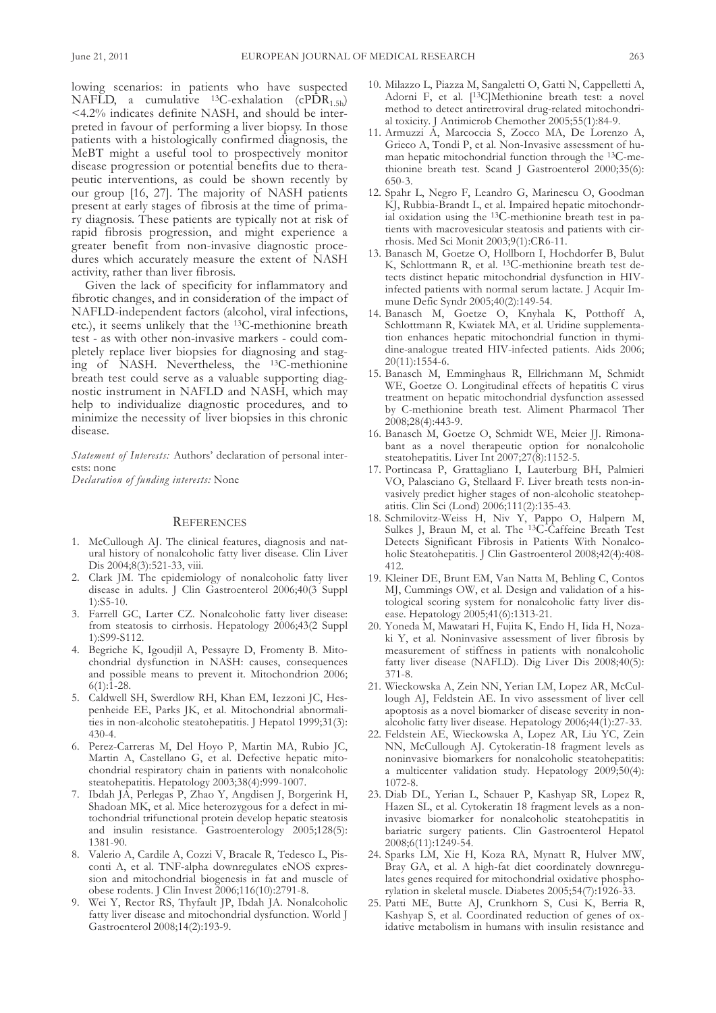lowing scenarios: in patients who have suspected NAFLD, a cumulative  $^{13}C$ -exhalation (cPDR<sub>1.5h</sub>) <4.2% indicates definite NasH, and should be interpreted in favour of performing a liver biopsy. In those patients with a histologically confirmed diagnosis, the MeBT might a useful tool to prospectively monitor disease progression or potential benefits due to therapeutic interventions, as could be shown recently by our group [16, 27]. The majority of NasH patients present at early stages of fibrosis at the time of primary diagnosis. These patients are typically not at risk of rapid fibrosis progression, and might experience a greater benefit from non-invasive diagnostic procedures which accurately measure the extent of NasH activity, rather than liver fibrosis.

Given the lack of specificity for inflammatory and fibrotic changes, and in consideration of the impact of NaflD-independent factors (alcohol, viral infections, etc.), it seems unlikely that the 13C-methionine breath test - as with other non-invasive markers - could completely replace liver biopsies for diagnosing and staging of NasH. Nevertheless, the 13C-methionine breath test could serve as a valuable supporting diagnostic instrument in NaflD and NasH, which may help to individualize diagnostic procedures, and to minimize the necessity of liver biopsies in this chronic disease.

*Statement of Interests: Authors' declaration of personal inter*ests: none

*Declaration of funding interests:* None

#### **REFERENCES**

- 1. McCullough aJ. The clinical features, diagnosis and natural history of nonalcoholic fatty liver disease. Clin liver Dis 2004;8(3):521-33, viii.
- 2. Clark JM. The epidemiology of nonalcoholic fatty liver disease in adults. J Clin Gastroenterol 2006;40(3 suppl 1):s5-10.
- 3. farrell GC, larter CZ. Nonalcoholic fatty liver disease: from steatosis to cirrhosis. Hepatology 2006;43(2 suppl 1):s99-s112.
- 4. Begriche k, Igoudjil a, Pessayre D, fromenty B. Mitochondrial dysfunction in NasH: causes, consequences and possible means to prevent it. Mitochondrion 2006;  $6(1):1-28.$
- 5. Caldwell sH, swerdlow RH, khan EM, Iezzoni JC, Hespenheide EE, Parks Jk, et al. Mitochondrial abnormalities in non-alcoholic steatohepatitis. J Hepatol 1999;31(3): 430-4.
- 6. Perez-Carreras M, Del Hoyo P, Martin Ma, Rubio JC, Martin A, Castellano G, et al. Defective hepatic mitochondrial respiratory chain in patients with nonalcoholic steatohepatitis. Hepatology 2003;38(4):999-1007.
- 7. Ibdah JA, Perlegas P, Zhao Y, Angdisen J, Borgerink H, shadoan Mk, et al. Mice heterozygous for a defect in mitochondrial trifunctional protein develop hepatic steatosis and insulin resistance. Gastroenterology 2005;128(5): 1381-90.
- 8. Valerio A, Cardile A, Cozzi V, Bracale R, Tedesco L, Pisconti A, et al. TNF-alpha downregulates eNOS expression and mitochondrial biogenesis in fat and muscle of obese rodents. J Clin Invest 2006;116(10):2791-8.
- 9. Wei y, Rector Rs, Thyfault JP, Ibdah Ja. Nonalcoholic fatty liver disease and mitochondrial dysfunction. World J Gastroenterol 2008;14(2):193-9.
- 10. Milazzo l, Piazza M, sangaletti o, Gatti N, Cappelletti a, Adorni F, et al. [<sup>13</sup>C]Methionine breath test: a novel method to detect antiretroviral drug-related mitochondrial toxicity. J Antimicrob Chemother 2005;55(1):84-9.
- 11. armuzzi a, Marcoccia s, Zocco Ma, De lorenzo a, Grieco a, Tondi P, et al. Non-Invasive assessment of human hepatic mitochondrial function through the 13C-methionine breath test. Scand J Gastroenterol 2000;35(6): 650-3.
- 12. spahr l, Negro f, leandro G, Marinescu o, Goodman kJ, Rubbia-Brandt l, et al. Impaired hepatic mitochondrial oxidation using the 13C-methionine breath test in patients with macrovesicular steatosis and patients with cirrhosis. Med sci Monit 2003;9(1):CR6-11.
- 13. Banasch M, Goetze o, Hollborn I, Hochdorfer B, Bulut k, schlottmann R, et al. 13C-methionine breath test detects distinct hepatic mitochondrial dysfunction in HIvinfected patients with normal serum lactate. J Acquir Immune Defic syndr 2005;40(2):149-54.
- 14. Banasch M, Goetze o, knyhala k, Potthoff a, Schlottmann R, Kwiatek MA, et al. Uridine supplementation enhances hepatic mitochondrial function in thymidine-analogue treated HIV-infected patients. Aids 2006; 20(11):1554-6.
- 15. Banasch M, Emminghaus R, Ellrichmann M, schmidt WE, Goetze O. Longitudinal effects of hepatitis C virus treatment on hepatic mitochondrial dysfunction assessed by C-methionine breath test. aliment Pharmacol Ther 2008;28(4):443-9.
- 16. Banasch M, Goetze o, schmidt WE, Meier JJ. Rimonabant as a novel therapeutic option for nonalcoholic steatohepatitis. Liver Int 2007;27(8):1152-5.
- 17. Portincasa P, Grattagliano I, lauterburg BH, Palmieri vo, Palasciano G, stellaard f. liver breath tests non-invasively predict higher stages of non-alcoholic steatohepatitis. Clin sci (lond) 2006;111(2):135-43.
- 18. schmilovitz-Weiss H, Niv y, Pappo o, Halpern M, sulkes J, Braun M, et al. The 13C-Caffeine Breath Test Detects significant fibrosis in Patients With Nonalcoholic Steatohepatitis. J Clin Gastroenterol 2008;42(4):408-412.
- 19. kleiner DE, Brunt EM, van Natta M, Behling C, Contos MJ, Cummings oW, et al. Design and validation of a histological scoring system for nonalcoholic fatty liver disease. Hepatology 2005;41(6):1313-21.
- 20. yoneda M, Mawatari H, fujita k, Endo H, Iida H, Nozaki y, et al. Noninvasive assessment of liver fibrosis by measurement of stiffness in patients with nonalcoholic fatty liver disease (NAFLD). Dig Liver Dis 2008;40(5): 371-8.
- 21. Wieckowska a, Zein NN, yerian lM, lopez aR, McCullough aJ, feldstein aE. In vivo assessment of liver cell apoptosis as a novel biomarker of disease severity in nonalcoholic fatty liver disease. Hepatology 2006;44(1):27-33.
- 22. feldstein aE, Wieckowska a, lopez aR, liu yC, Zein NN, McCullough aJ. Cytokeratin-18 fragment levels as noninvasive biomarkers for nonalcoholic steatohepatitis: a multicenter validation study. Hepatology 2009;50(4): 1072-8.
- 23. Diab Dl, yerian l, schauer P, kashyap sR, lopez R, Hazen SL, et al. Cytokeratin 18 fragment levels as a noninvasive biomarker for nonalcoholic steatohepatitis in bariatric surgery patients. Clin Gastroenterol Hepatol 2008;6(11):1249-54.
- 24. sparks lM, Xie H, koza Ra, Mynatt R, Hulver MW, Bray GA, et al. A high-fat diet coordinately downregulates genes required for mitochondrial oxidative phosphorylation in skeletal muscle. Diabetes 2005;54(7):1926-33.
- 25. Patti ME, Butte aJ, Crunkhorn s, Cusi k, Berria R, Kashyap S, et al. Coordinated reduction of genes of oxidative metabolism in humans with insulin resistance and